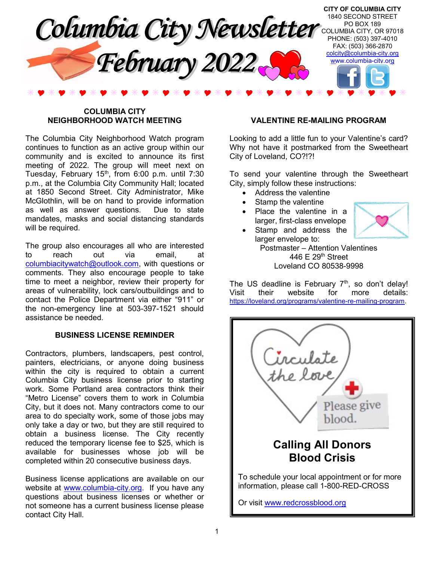

## COLUMBIA CITY NEIGHBORHOOD WATCH MEETING

The Columbia City Neighborhood Watch program continues to function as an active group within our community and is excited to announce its first meeting of 2022. The group will meet next on Tuesday, February 15<sup>th</sup>, from 6:00 p.m. until 7:30 p.m., at the Columbia City Community Hall; located at 1850 Second Street. City Administrator, Mike McGlothlin, will be on hand to provide information as well as answer questions. Due to state mandates, masks and social distancing standards will be required.

The group also encourages all who are interested to reach out via email, at columbiacitywatch@outlook.com, with questions or comments. They also encourage people to take time to meet a neighbor, review their property for areas of vulnerability, lock cars/outbuildings and to contact the Police Department via either "911" or the non-emergency line at 503-397-1521 should assistance be needed.

# BUSINESS LICENSE REMINDER

Contractors, plumbers, landscapers, pest control, painters, electricians, or anyone doing business within the city is required to obtain a current Columbia City business license prior to starting work. Some Portland area contractors think their "Metro License" covers them to work in Columbia City, but it does not. Many contractors come to our area to do specialty work, some of those jobs may only take a day or two, but they are still required to obtain a business license. The City recently reduced the temporary license fee to \$25, which is available for businesses whose job will be completed within 20 consecutive business days.

Business license applications are available on our website at www.columbia-city.org. If you have any questions about business licenses or whether or not someone has a current business license please contact City Hall.

# VALENTINE RE-MAILING PROGRAM

Looking to add a little fun to your Valentine's card? Why not have it postmarked from the Sweetheart City of Loveland, CO?!?!

To send your valentine through the Sweetheart City, simply follow these instructions:

- Address the valentine
- Stamp the valentine
- Place the valentine in a larger, first-class envelope

Stamp and address the



larger envelope to: Postmaster – Attention Valentines 446 E 29th Street Loveland CO 80538-9998

The US deadline is February  $7<sup>th</sup>$ , so don't delay! Visit their website for more details: https://loveland.org/programs/valentine-re-mailing-program.

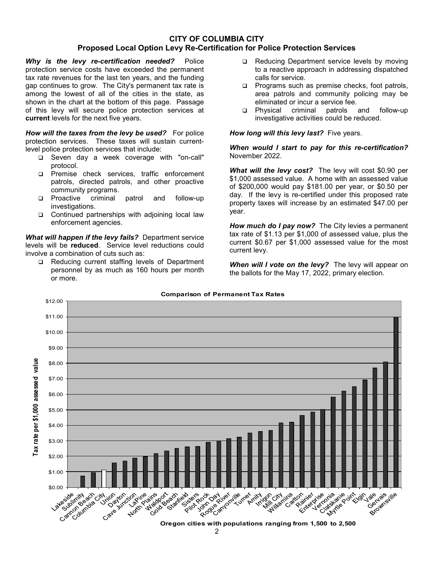# CITY OF COLUMBIA CITY Proposed Local Option Levy Re-Certification for Police Protection Services

Why is the levy re-certification needed? Police protection service costs have exceeded the permanent tax rate revenues for the last ten years, and the funding gap continues to grow. The City's permanent tax rate is among the lowest of all of the cities in the state, as shown in the chart at the bottom of this page. Passage of this levy will secure police protection services at current levels for the next five years.

How will the taxes from the levy be used? For police protection services. These taxes will sustain currentlevel police protection services that include:

- Seven day a week coverage with "on-call" protocol.
- Premise check services, traffic enforcement patrols, directed patrols, and other proactive community programs.
- **Q** Proactive criminal patrol and follow-up investigations.
- □ Continued partnerships with adjoining local law enforcement agencies.

What will happen if the levy fails? Department service levels will be reduced. Service level reductions could involve a combination of cuts such as:

□ Reducing current staffing levels of Department personnel by as much as 160 hours per month or more.

- □ Reducing Department service levels by moving to a reactive approach in addressing dispatched calls for service.
- $\Box$  Programs such as premise checks, foot patrols, area patrols and community policing may be eliminated or incur a service fee.
- Physical criminal patrols and follow-up investigative activities could be reduced.

How long will this levy last? Five years.

When would I start to pay for this re-certification? November 2022.

What will the levy cost? The levy will cost \$0.90 per \$1,000 assessed value. A home with an assessed value of \$200,000 would pay \$181.00 per year, or \$0.50 per day. If the levy is re-certified under this proposed rate property taxes will increase by an estimated \$47.00 per year.

How much do I pay now? The City levies a permanent tax rate of \$1.13 per \$1,000 of assessed value, plus the current \$0.67 per \$1,000 assessed value for the most current levy.

When will I vote on the levy? The levy will appear on the ballots for the May 17, 2022, primary election.



# Comparison of Permanent Tax Rates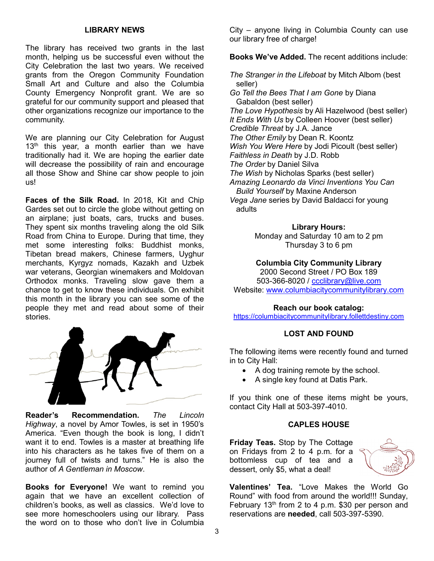# LIBRARY NEWS

The library has received two grants in the last month, helping us be successful even without the City Celebration the last two years. We received grants from the Oregon Community Foundation Small Art and Culture and also the Columbia County Emergency Nonprofit grant. We are so grateful for our community support and pleased that other organizations recognize our importance to the community.

We are planning our City Celebration for August  $13<sup>th</sup>$  this year, a month earlier than we have traditionally had it. We are hoping the earlier date will decrease the possibility of rain and encourage all those Show and Shine car show people to join us!

Faces of the Silk Road. In 2018, Kit and Chip Gardes set out to circle the globe without getting on an airplane; just boats, cars, trucks and buses. They spent six months traveling along the old Silk Road from China to Europe. During that time, they met some interesting folks: Buddhist monks, Tibetan bread makers, Chinese farmers, Uyghur merchants, Kyrgyz nomads, Kazakh and Uzbek war veterans, Georgian winemakers and Moldovan Orthodox monks. Traveling slow gave them a chance to get to know these individuals. On exhibit this month in the library you can see some of the people they met and read about some of their stories.



Reader's Recommendation. The Lincoln Highway, a novel by Amor Towles, is set in 1950's America. "Even though the book is long, I didn't want it to end. Towles is a master at breathing life into his characters as he takes five of them on a journey full of twists and turns." He is also the author of A Gentleman in Moscow.

Books for Everyone! We want to remind you again that we have an excellent collection of children's books, as well as classics. We'd love to see more homeschoolers using our library. Pass the word on to those who don't live in Columbia

City – anyone living in Columbia County can use our library free of charge!

Books We've Added. The recent additions include:

The Stranger in the Lifeboat by Mitch Albom (best seller)

Go Tell the Bees That I am Gone by Diana Gabaldon (best seller) The Love Hypothesis by Ali Hazelwood (best seller) It Ends With Us by Colleen Hoover (best seller) Credible Threat by J.A. Jance The Other Emily by Dean R. Koontz Wish You Were Here by Jodi Picoult (best seller) Faithless in Death by J.D. Robb The Order by Daniel Silva The Wish by Nicholas Sparks (best seller) Amazing Leonardo da Vinci Inventions You Can Build Yourself by Maxine Anderson Vega Jane series by David Baldacci for young adults

#### Library Hours:

Monday and Saturday 10 am to 2 pm Thursday 3 to 6 pm

## Columbia City Community Library

2000 Second Street / PO Box 189 503-366-8020 / ccclibrary@live.com Website: www.columbiacitycommunitylibrary.com

#### Reach our book catalog:

https://columbiacitycommunitylibrary.follettdestiny.com

## LOST AND FOUND

The following items were recently found and turned in to City Hall:

- A dog training remote by the school.
- A single key found at Datis Park.

If you think one of these items might be yours, contact City Hall at 503-397-4010.

#### CAPLES HOUSE

Friday Teas. Stop by The Cottage on Fridays from 2 to 4 p.m. for a bottomless cup of tea and a dessert, only \$5, what a deal!



Valentines' Tea. "Love Makes the World Go Round" with food from around the world!!! Sunday, February  $13<sup>th</sup>$  from 2 to 4 p.m. \$30 per person and reservations are needed, call 503-397-5390.